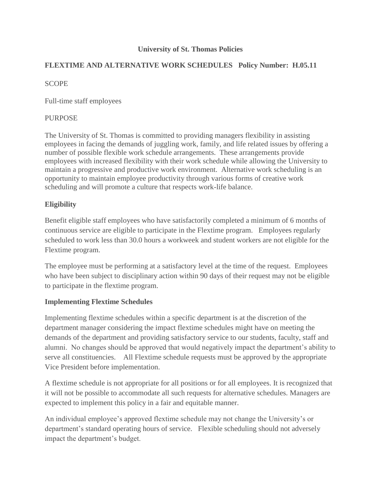## **University of St. Thomas Policies**

# **FLEXTIME AND ALTERNATIVE WORK SCHEDULES Policy Number: H.05.11**

## **SCOPE**

Full-time staff employees

## PURPOSE

The University of St. Thomas is committed to providing managers flexibility in assisting employees in facing the demands of juggling work, family, and life related issues by offering a number of possible flexible work schedule arrangements. These arrangements provide employees with increased flexibility with their work schedule while allowing the University to maintain a progressive and productive work environment. Alternative work scheduling is an opportunity to maintain employee productivity through various forms of creative work scheduling and will promote a culture that respects work-life balance.

## **Eligibility**

Benefit eligible staff employees who have satisfactorily completed a minimum of 6 months of continuous service are eligible to participate in the Flextime program. Employees regularly scheduled to work less than 30.0 hours a workweek and student workers are not eligible for the Flextime program.

The employee must be performing at a satisfactory level at the time of the request. Employees who have been subject to disciplinary action within 90 days of their request may not be eligible to participate in the flextime program.

#### **Implementing Flextime Schedules**

Implementing flextime schedules within a specific department is at the discretion of the department manager considering the impact flextime schedules might have on meeting the demands of the department and providing satisfactory service to our students, faculty, staff and alumni. No changes should be approved that would negatively impact the department's ability to serve all constituencies. All Flextime schedule requests must be approved by the appropriate Vice President before implementation.

A flextime schedule is not appropriate for all positions or for all employees. It is recognized that it will not be possible to accommodate all such requests for alternative schedules. Managers are expected to implement this policy in a fair and equitable manner.

An individual employee's approved flextime schedule may not change the University's or department's standard operating hours of service. Flexible scheduling should not adversely impact the department's budget.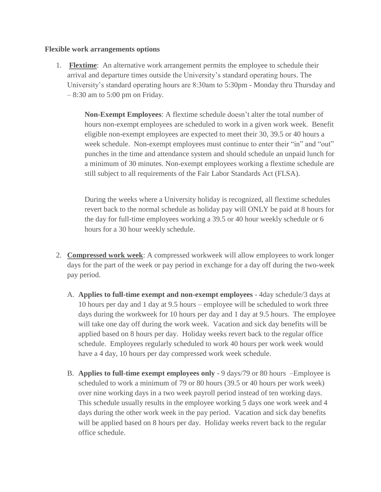#### **Flexible work arrangements options**

1. **Flextime**: An alternative work arrangement permits the employee to schedule their arrival and departure times outside the University's standard operating hours. The University's standard operating hours are 8:30am to 5:30pm - Monday thru Thursday and  $-8:30$  am to 5:00 pm on Friday.

> **Non-Exempt Employees**: A flextime schedule doesn't alter the total number of hours non-exempt employees are scheduled to work in a given work week. Benefit eligible non-exempt employees are expected to meet their 30, 39.5 or 40 hours a week schedule. Non-exempt employees must continue to enter their "in" and "out" punches in the time and attendance system and should schedule an unpaid lunch for a minimum of 30 minutes. Non-exempt employees working a flextime schedule are still subject to all requirements of the Fair Labor Standards Act (FLSA).

> During the weeks where a University holiday is recognized, all flextime schedules revert back to the normal schedule as holiday pay will ONLY be paid at 8 hours for the day for full-time employees working a 39.5 or 40 hour weekly schedule or 6 hours for a 30 hour weekly schedule.

- 2. **Compressed work week**: A compressed workweek will allow employees to work longer days for the part of the week or pay period in exchange for a day off during the two-week pay period.
	- A. **Applies to full-time exempt and non-exempt employees** 4day schedule/3 days at 10 hours per day and 1 day at 9.5 hours – employee will be scheduled to work three days during the workweek for 10 hours per day and 1 day at 9.5 hours. The employee will take one day off during the work week. Vacation and sick day benefits will be applied based on 8 hours per day. Holiday weeks revert back to the regular office schedule. Employees regularly scheduled to work 40 hours per work week would have a 4 day, 10 hours per day compressed work week schedule.
	- B. **Applies to full-time exempt employees only** 9 days/79 or 80 hours –Employee is scheduled to work a minimum of 79 or 80 hours (39.5 or 40 hours per work week) over nine working days in a two week payroll period instead of ten working days. This schedule usually results in the employee working 5 days one work week and 4 days during the other work week in the pay period. Vacation and sick day benefits will be applied based on 8 hours per day. Holiday weeks revert back to the regular office schedule.